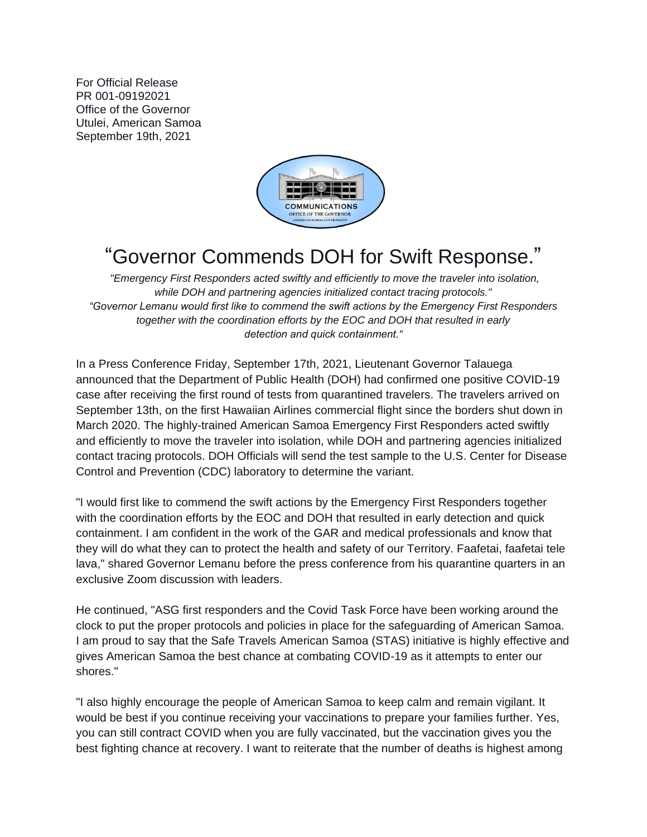For Official Release PR 001-09192021 Office of the Governor Utulei, American Samoa September 19th, 2021



## "Governor Commends DOH for Swift Response."

*"Emergency First Responders acted swiftly and efficiently to move the traveler into isolation, while DOH and partnering agencies initialized contact tracing protocols." "Governor Lemanu would first like to commend the swift actions by the Emergency First Responders together with the coordination efforts by the EOC and DOH that resulted in early detection and quick containment."*

In a Press Conference Friday, September 17th, 2021, Lieutenant Governor Talauega announced that the Department of Public Health (DOH) had confirmed one positive COVID-19 case after receiving the first round of tests from quarantined travelers. The travelers arrived on September 13th, on the first Hawaiian Airlines commercial flight since the borders shut down in March 2020. The highly-trained American Samoa Emergency First Responders acted swiftly and efficiently to move the traveler into isolation, while DOH and partnering agencies initialized contact tracing protocols. DOH Officials will send the test sample to the U.S. Center for Disease Control and Prevention (CDC) laboratory to determine the variant.

"I would first like to commend the swift actions by the Emergency First Responders together with the coordination efforts by the EOC and DOH that resulted in early detection and quick containment. I am confident in the work of the GAR and medical professionals and know that they will do what they can to protect the health and safety of our Territory. Faafetai, faafetai tele lava," shared Governor Lemanu before the press conference from his quarantine quarters in an exclusive Zoom discussion with leaders.

He continued, "ASG first responders and the Covid Task Force have been working around the clock to put the proper protocols and policies in place for the safeguarding of American Samoa. I am proud to say that the Safe Travels American Samoa (STAS) initiative is highly effective and gives American Samoa the best chance at combating COVID-19 as it attempts to enter our shores."

"I also highly encourage the people of American Samoa to keep calm and remain vigilant. It would be best if you continue receiving your vaccinations to prepare your families further. Yes, you can still contract COVID when you are fully vaccinated, but the vaccination gives you the best fighting chance at recovery. I want to reiterate that the number of deaths is highest among